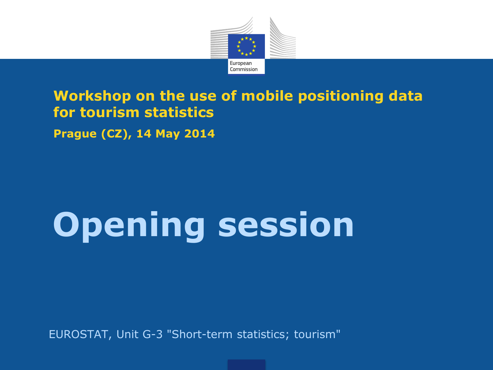

### **Workshop on the use of mobile positioning data for tourism statistics**

**Prague (CZ), 14 May 2014**

# **Opening session**

EUROSTAT, Unit G-3 "Short-term statistics; tourism"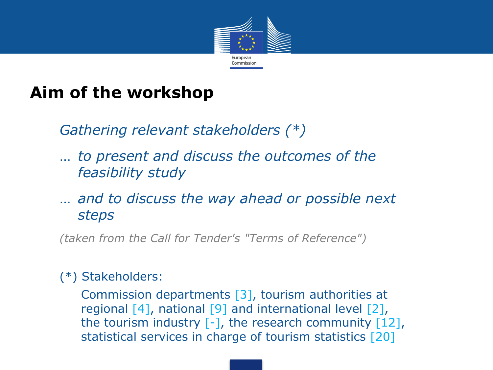

### **Aim of the workshop**

*Gathering relevant stakeholders (\*)*

- … *to present and discuss the outcomes of the feasibility study*
- … *and to discuss the way ahead or possible next steps*

*(taken from the Call for Tender's "Terms of Reference")*

#### (\*) Stakeholders:

Commission departments [3], tourism authorities at regional [4], national [9] and international level [2], the tourism industry [-], the research community [12], statistical services in charge of tourism statistics [20]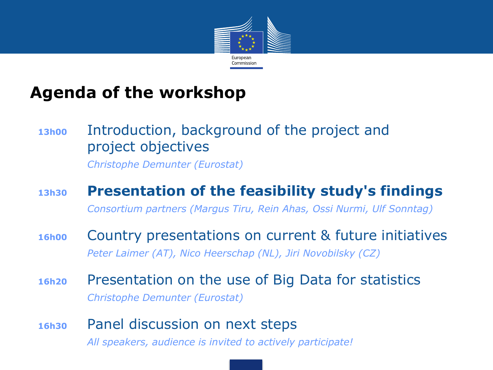

### **Agenda of the workshop**

### **13h00** Introduction, background of the project and project objectives

*Christophe Demunter (Eurostat)*

#### **13h30 Presentation of the feasibility study's findings** *Consortium partners (Margus Tiru, Rein Ahas, Ossi Nurmi, Ulf Sonntag)*

**16h00** Country presentations on current & future initiatives *Peter Laimer (AT), Nico Heerschap (NL), Jiri Novobilsky (CZ)*

- **16h20** Presentation on the use of Big Data for statistics *Christophe Demunter (Eurostat)*
- **16h30** Panel discussion on next steps *All speakers, audience is invited to actively participate!*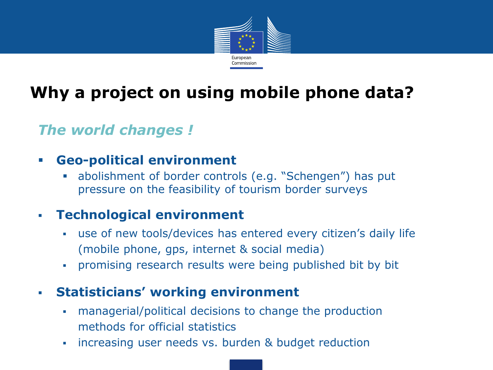

# **Why a project on using mobile phone data?**

### *The world changes !*

#### **Geo-political environment**

 abolishment of border controls (e.g. "Schengen") has put pressure on the feasibility of tourism border surveys

#### **Technological environment**

- use of new tools/devices has entered every citizen's daily life (mobile phone, gps, internet & social media)
- promising research results were being published bit by bit

#### **Statisticians' working environment**

- managerial/political decisions to change the production methods for official statistics
- **i** increasing user needs vs. burden & budget reduction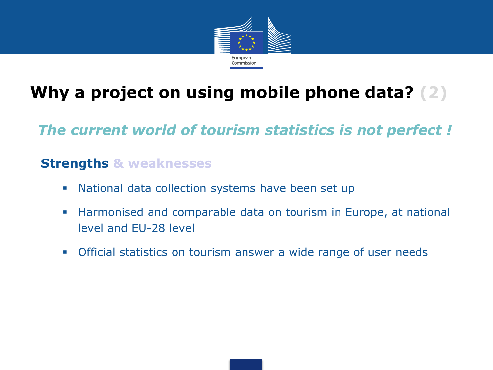

# **Why a project on using mobile phone data? (2)**

*The current world of tourism statistics is not perfect !*

#### **Strengths & weaknesses**

- National data collection systems have been set up
- Harmonised and comparable data on tourism in Europe, at national level and EU-28 level
- Official statistics on tourism answer a wide range of user needs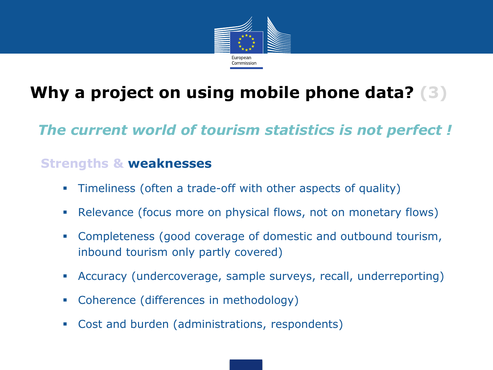

# **Why a project on using mobile phone data? (3)**

*The current world of tourism statistics is not perfect !*

#### **Strengths & weaknesses**

- Timeliness (often a trade-off with other aspects of quality)
- Relevance (focus more on physical flows, not on monetary flows)
- Completeness (good coverage of domestic and outbound tourism, inbound tourism only partly covered)
- Accuracy (undercoverage, sample surveys, recall, underreporting)
- Coherence (differences in methodology)
- Cost and burden (administrations, respondents)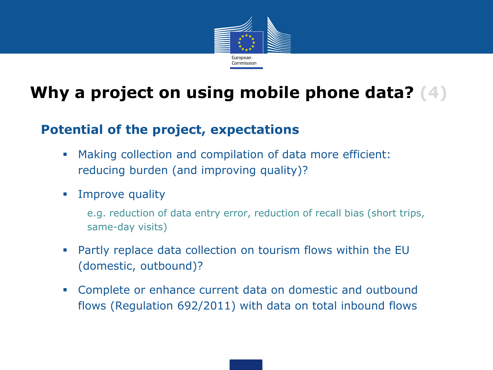

### **Why a project on using mobile phone data? (4)**

#### **Potential of the project, expectations**

- Making collection and compilation of data more efficient: reducing burden (and improving quality)?
- **Improve quality** 
	- e.g. reduction of data entry error, reduction of recall bias (short trips, same-day visits)
- Partly replace data collection on tourism flows within the EU (domestic, outbound)?
- Complete or enhance current data on domestic and outbound flows (Regulation 692/2011) with data on total inbound flows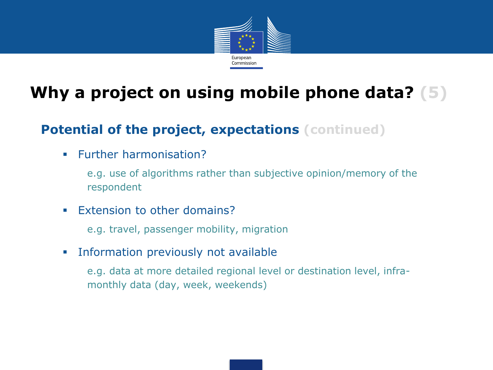

# **Why a project on using mobile phone data? (5)**

#### **Potential of the project, expectations (continued)**

**Further harmonisation?** 

e.g. use of algorithms rather than subjective opinion/memory of the respondent

**Extension to other domains?** 

e.g. travel, passenger mobility, migration

**Information previously not available** 

e.g. data at more detailed regional level or destination level, inframonthly data (day, week, weekends)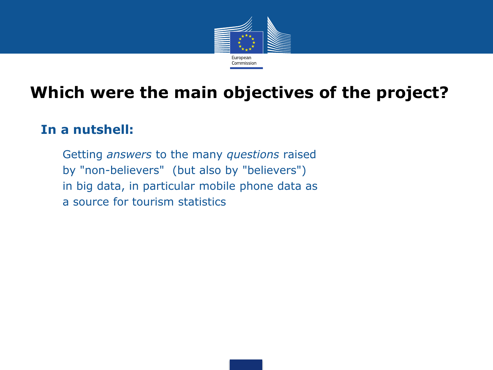

### **Which were the main objectives of the project?**

#### **In a nutshell:**

Getting *answers* to the many *questions* raised by "non-believers" (but also by "believers") in big data, in particular mobile phone data as a source for tourism statistics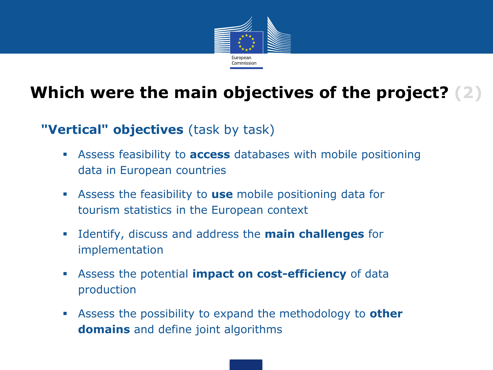

# **Which were the main objectives of the project? (2)**

#### **"Vertical" objectives** (task by task)

- Assess feasibility to **access** databases with mobile positioning data in European countries
- Assess the feasibility to **use** mobile positioning data for tourism statistics in the European context
- Identify, discuss and address the **main challenges** for implementation
- Assess the potential **impact on cost-efficiency** of data production
- Assess the possibility to expand the methodology to **other domains** and define joint algorithms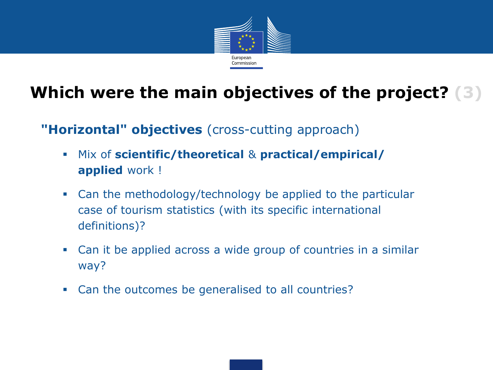

# **Which were the main objectives of the project? (3)**

#### **"Horizontal" objectives** (cross-cutting approach)

- Mix of **scientific/theoretical** & **practical/empirical/ applied** work !
- Can the methodology/technology be applied to the particular case of tourism statistics (with its specific international definitions)?
- Can it be applied across a wide group of countries in a similar way?
- Can the outcomes be generalised to all countries?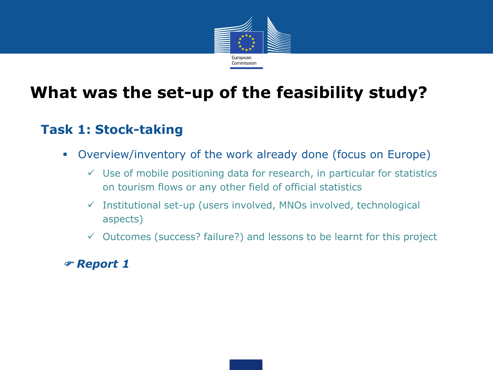

### **What was the set-up of the feasibility study?**

#### **Task 1: Stock-taking**

- Overview/inventory of the work already done (focus on Europe)
	- $\checkmark$  Use of mobile positioning data for research, in particular for statistics on tourism flows or any other field of official statistics
	- $\checkmark$  Institutional set-up (users involved, MNOs involved, technological aspects)
	- $\checkmark$  Outcomes (success? failure?) and lessons to be learnt for this project

#### *Report 1*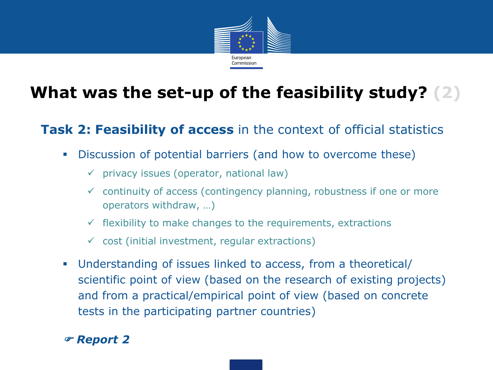

# **What was the set-up of the feasibility study? (2)**

#### **Task 2: Feasibility of access** in the context of official statistics

- Discussion of potential barriers (and how to overcome these)
	- $\checkmark$  privacy issues (operator, national law)
	- $\checkmark$  continuity of access (contingency planning, robustness if one or more operators withdraw, …)
	- $\checkmark$  flexibility to make changes to the requirements, extractions
	- $\checkmark$  cost (initial investment, regular extractions)
- Understanding of issues linked to access, from a theoretical/ scientific point of view (based on the research of existing projects) and from a practical/empirical point of view (based on concrete tests in the participating partner countries)

#### *Report 2*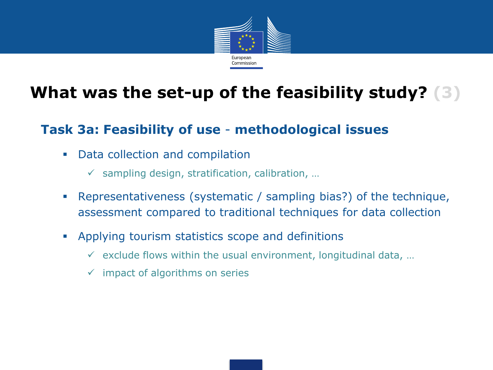

### **What was the set-up of the feasibility study? (3)**

#### **Task 3a: Feasibility of use** - **methodological issues**

- Data collection and compilation
	- $\checkmark$  sampling design, stratification, calibration, ...
- Representativeness (systematic / sampling bias?) of the technique, assessment compared to traditional techniques for data collection
- Applying tourism statistics scope and definitions
	- $\checkmark$  exclude flows within the usual environment, longitudinal data, ...
	- $\checkmark$  impact of algorithms on series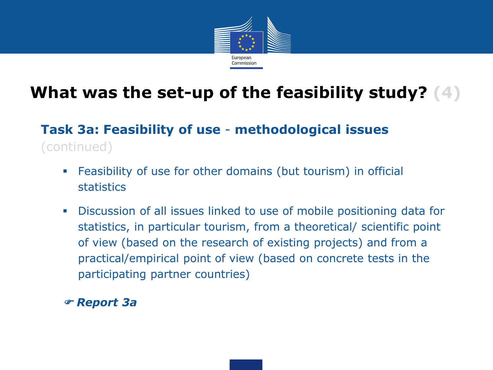

# **What was the set-up of the feasibility study? (4)**

### **Task 3a: Feasibility of use** - **methodological issues**  (continued)

- Feasibility of use for other domains (but tourism) in official statistics
- Discussion of all issues linked to use of mobile positioning data for statistics, in particular tourism, from a theoretical/ scientific point of view (based on the research of existing projects) and from a practical/empirical point of view (based on concrete tests in the participating partner countries)

#### *Report 3a*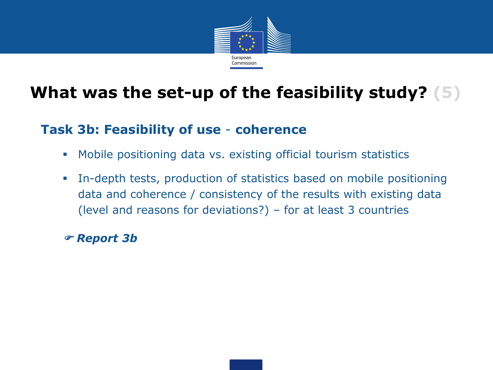

### **What was the set-up of the feasibility study? (5)**

#### **Task 3b: Feasibility of use** - **coherence**

- Mobile positioning data vs. existing official tourism statistics
- In-depth tests, production of statistics based on mobile positioning data and coherence / consistency of the results with existing data (level and reasons for deviations?) – for at least 3 countries

*Report 3b*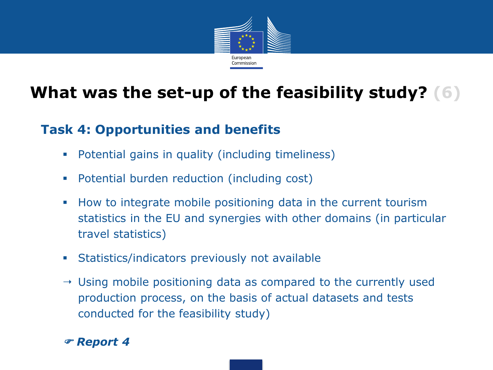

# **What was the set-up of the feasibility study? (6)**

#### **Task 4: Opportunities and benefits**

- Potential gains in quality (including timeliness)
- Potential burden reduction (including cost)
- How to integrate mobile positioning data in the current tourism statistics in the EU and synergies with other domains (in particular travel statistics)
- Statistics/indicators previously not available
- $\rightarrow$  Using mobile positioning data as compared to the currently used production process, on the basis of actual datasets and tests conducted for the feasibility study)

*Report 4*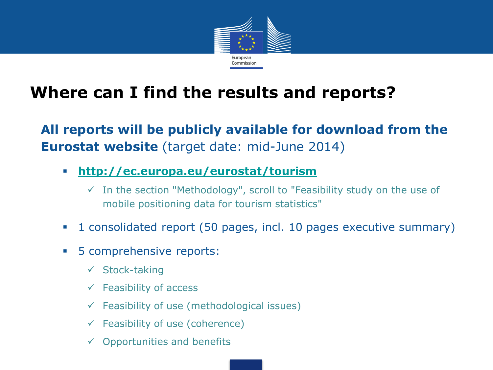

### **Where can I find the results and reports?**

**All reports will be publicly available for download from the Eurostat website** (target date: mid-June 2014)

- **<http://ec.europa.eu/eurostat/tourism>**
	- $\checkmark$  In the section "Methodology", scroll to "Feasibility study on the use of mobile positioning data for tourism statistics"
- 1 consolidated report (50 pages, incl. 10 pages executive summary)
- **5 comprehensive reports:** 
	- $\checkmark$  Stock-taking
	- $\checkmark$  Feasibility of access
	- $\checkmark$  Feasibility of use (methodological issues)
	- $\checkmark$  Feasibility of use (coherence)
	- $\checkmark$  Opportunities and benefits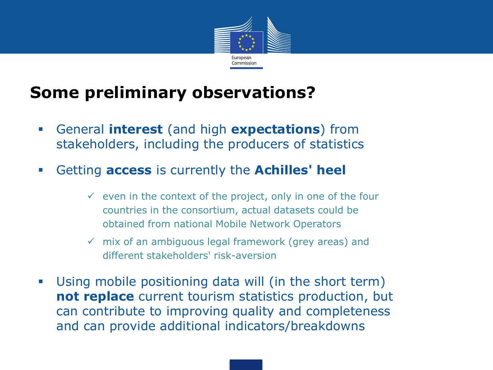

### **Some preliminary observations?**

- General **interest** (and high **expectations**) from stakeholders, including the producers of statistics
- Getting **access** is currently the **Achilles' heel**
	- $\checkmark$  even in the context of the project, only in one of the four countries in the consortium, actual datasets could be obtained from national Mobile Network Operators
	- $\checkmark$  mix of an ambiguous legal framework (grey areas) and different stakeholders' risk-aversion
- Using mobile positioning data will (in the short term) **not replace** current tourism statistics production, but can contribute to improving quality and completeness and can provide additional indicators/breakdowns